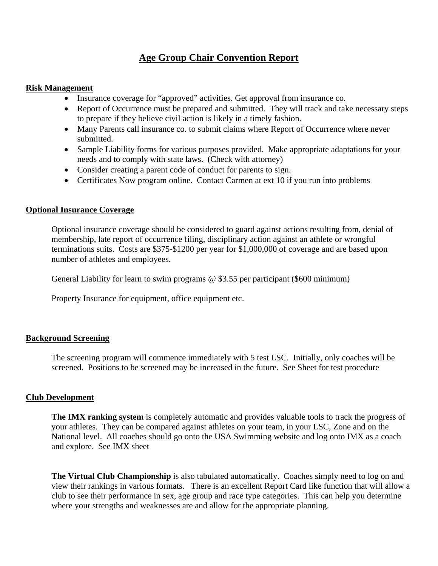# **Age Group Chair Convention Report**

#### **Risk Management**

- Insurance coverage for "approved" activities. Get approval from insurance co.
- Report of Occurrence must be prepared and submitted. They will track and take necessary steps to prepare if they believe civil action is likely in a timely fashion.
- Many Parents call insurance co. to submit claims where Report of Occurrence where never submitted.
- Sample Liability forms for various purposes provided. Make appropriate adaptations for your needs and to comply with state laws. (Check with attorney)
- Consider creating a parent code of conduct for parents to sign.
- Certificates Now program online. Contact Carmen at ext 10 if you run into problems

## **Optional Insurance Coverage**

Optional insurance coverage should be considered to guard against actions resulting from, denial of membership, late report of occurrence filing, disciplinary action against an athlete or wrongful terminations suits. Costs are \$375-\$1200 per year for \$1,000,000 of coverage and are based upon number of athletes and employees.

General Liability for learn to swim programs @ \$3.55 per participant (\$600 minimum)

Property Insurance for equipment, office equipment etc.

### **Background Screening**

The screening program will commence immediately with 5 test LSC. Initially, only coaches will be screened. Positions to be screened may be increased in the future. See Sheet for test procedure

### **Club Development**

**The IMX ranking system** is completely automatic and provides valuable tools to track the progress of your athletes. They can be compared against athletes on your team, in your LSC, Zone and on the National level. All coaches should go onto the USA Swimming website and log onto IMX as a coach and explore. See IMX sheet

**The Virtual Club Championship** is also tabulated automatically. Coaches simply need to log on and view their rankings in various formats. There is an excellent Report Card like function that will allow a club to see their performance in sex, age group and race type categories. This can help you determine where your strengths and weaknesses are and allow for the appropriate planning.